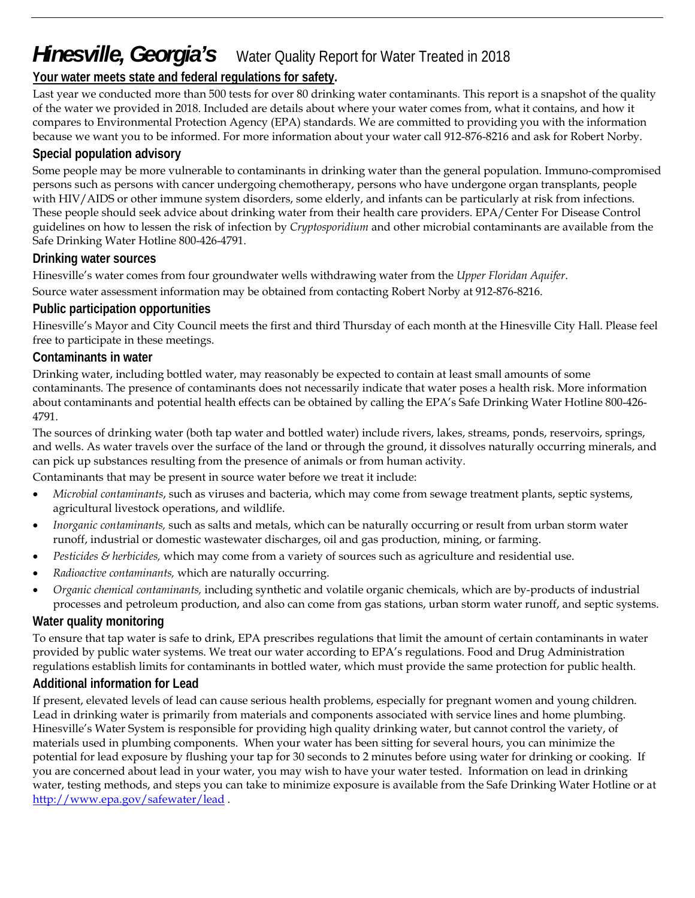# *Hinesville, Georgia's* Water Quality Report for Water Treated in 2018

# **Your water meets state and federal regulations for safety.**

Last year we conducted more than 500 tests for over 80 drinking water contaminants. This report is a snapshot of the quality of the water we provided in 2018. Included are details about where your water comes from, what it contains, and how it compares to Environmental Protection Agency (EPA) standards. We are committed to providing you with the information because we want you to be informed. For more information about your water call 912-876-8216 and ask for Robert Norby.

### **Special population advisory**

Some people may be more vulnerable to contaminants in drinking water than the general population. Immuno-compromised persons such as persons with cancer undergoing chemotherapy, persons who have undergone organ transplants, people with HIV/AIDS or other immune system disorders, some elderly, and infants can be particularly at risk from infections. These people should seek advice about drinking water from their health care providers. EPA/Center For Disease Control guidelines on how to lessen the risk of infection by *Cryptosporidium* and other microbial contaminants are available from the Safe Drinking Water Hotline 800-426-4791.

### **Drinking water sources**

Hinesville's water comes from four groundwater wells withdrawing water from the *Upper Floridan Aquifer*. Source water assessment information may be obtained from contacting Robert Norby at 912-876-8216.

### **Public participation opportunities**

Hinesville's Mayor and City Council meets the first and third Thursday of each month at the Hinesville City Hall. Please feel free to participate in these meetings.

### **Contaminants in water**

Drinking water, including bottled water, may reasonably be expected to contain at least small amounts of some contaminants. The presence of contaminants does not necessarily indicate that water poses a health risk. More information about contaminants and potential health effects can be obtained by calling the EPA's Safe Drinking Water Hotline 800-426- 4791.

The sources of drinking water (both tap water and bottled water) include rivers, lakes, streams, ponds, reservoirs, springs, and wells. As water travels over the surface of the land or through the ground, it dissolves naturally occurring minerals, and can pick up substances resulting from the presence of animals or from human activity.

Contaminants that may be present in source water before we treat it include:

- *Microbial contaminants*, such as viruses and bacteria, which may come from sewage treatment plants, septic systems, agricultural livestock operations, and wildlife.
- *Inorganic contaminants,* such as salts and metals, which can be naturally occurring or result from urban storm water runoff, industrial or domestic wastewater discharges, oil and gas production, mining, or farming.
- *Pesticides & herbicides,* which may come from a variety of sources such as agriculture and residential use.
- *Radioactive contaminants,* which are naturally occurring.
- *Organic chemical contaminants,* including synthetic and volatile organic chemicals, which are by-products of industrial processes and petroleum production, and also can come from gas stations, urban storm water runoff, and septic systems.

## **Water quality monitoring**

To ensure that tap water is safe to drink, EPA prescribes regulations that limit the amount of certain contaminants in water provided by public water systems. We treat our water according to EPA's regulations. Food and Drug Administration regulations establish limits for contaminants in bottled water, which must provide the same protection for public health.

#### **Additional information for Lead**

If present, elevated levels of lead can cause serious health problems, especially for pregnant women and young children. Lead in drinking water is primarily from materials and components associated with service lines and home plumbing. Hinesville's Water System is responsible for providing high quality drinking water, but cannot control the variety, of materials used in plumbing components. When your water has been sitting for several hours, you can minimize the potential for lead exposure by flushing your tap for 30 seconds to 2 minutes before using water for drinking or cooking. If you are concerned about lead in your water, you may wish to have your water tested. Information on lead in drinking water, testing methods, and steps you can take to minimize exposure is available from the Safe Drinking Water Hotline or at http://www.epa.gov/safewater/lead .